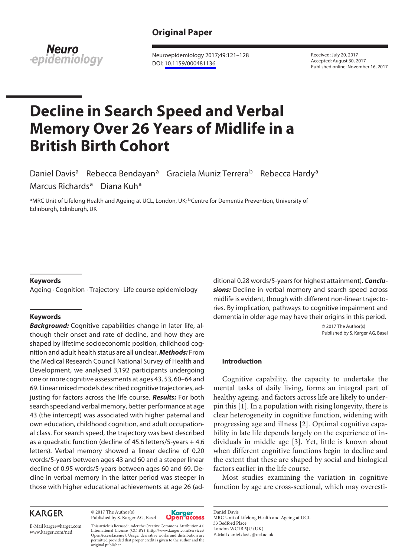# **Original Paper**



Neuroepidemiology 2017;49:121–128 DOI: [10.1159/000481136](http://dx.doi.org/10.1159%2F000481136)

Received: July 20, 2017 Accepted: August 30, 2017 Published online: November 16, 2017

# **Decline in Search Speed and Verbal Memory Over 26 Years of Midlife in a British Birth Cohort**

Daniel Davis<sup>a</sup> Rebecca Bendayan<sup>a</sup> Graciela Muniz Terrera<sup>b</sup> Rebecca Hardy<sup>a</sup> Marcus Richards<sup>a</sup> Diana Kuh<sup>a</sup>

aMRC Unit of Lifelong Health and Ageing at UCL, London, UK; <sup>b</sup>Centre for Dementia Prevention, University of Edinburgh, Edinburgh, UK

#### **Keywords**

Ageing · Cognition · Trajectory · Life course epidemiology

#### **Keywords**

*Background:* Cognitive capabilities change in later life, although their onset and rate of decline, and how they are shaped by lifetime socioeconomic position, childhood cognition and adult health status are all unclear. *Methods:* From the Medical Research Council National Survey of Health and Development, we analysed 3,192 participants undergoing one or more cognitive assessments at ages 43, 53, 60–64 and 69. Linear mixed models described cognitive trajectories, adjusting for factors across the life course. *Results:* For both search speed and verbal memory, better performance at age 43 (the intercept) was associated with higher paternal and own education, childhood cognition, and adult occupational class. For search speed, the trajectory was best described as a quadratic function (decline of 45.6 letters/5-years + 4.6 letters). Verbal memory showed a linear decline of 0.20 words/5-years between ages 43 and 60 and a steeper linear decline of 0.95 words/5-years between ages 60 and 69. Decline in verbal memory in the latter period was steeper in those with higher educational achievements at age 26 (ad-

## **KARGER**

© 2017 The Author(s) Published by S. Karger AG, Basel



E-Mail karger@karger.com www.karger.com/ned

This article is licensed under the Creative Commons Attribution 4.0 International License (CC BY) (http://www.karger.com/Services/ OpenAccessLicense). Usage, derivative works and distribution are permitted provided that proper credit is given to the author and the original publisher.

ditional 0.28 words/5-years for highest attainment). *Conclu*sions: Decline in verbal memory and search speed across midlife is evident, though with different non-linear trajectories. By implication, pathways to cognitive impairment and dementia in older age may have their origins in this period.

> © 2017 The Author(s) Published by S. Karger AG, Basel

#### **Introduction**

Cognitive capability, the capacity to undertake the mental tasks of daily living, forms an integral part of healthy ageing, and factors across life are likely to underpin this [1]. In a population with rising longevity, there is clear heterogeneity in cognitive function, widening with progressing age and illness [2]. Optimal cognitive capability in late life depends largely on the experience of individuals in middle age [3]. Yet, little is known about when different cognitive functions begin to decline and the extent that these are shaped by social and biological factors earlier in the life course.

Most studies examining the variation in cognitive function by age are cross-sectional, which may overesti-

Daniel Davis MRC Unit of Lifelong Health and Ageing at UCL 33 Bedford Place London WC1B 5JU (UK) E-Mail daniel.davis@ucl.ac.uk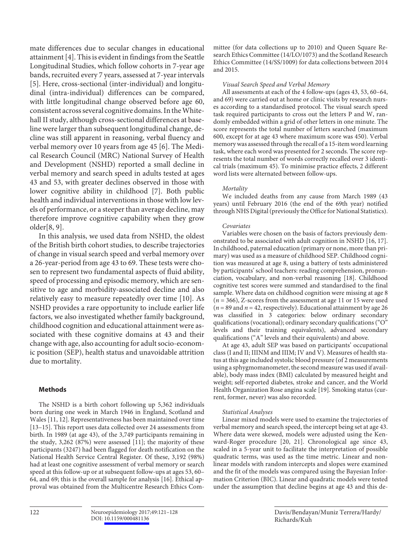mate differences due to secular changes in educational attainment [4]. This is evident in findings from the Seattle Longitudinal Studies, which follow cohorts in 7-year age bands, recruited every 7 years, assessed at 7-year intervals [5]. Here, cross-sectional (inter-individual) and longitudinal (intra-individual) differences can be compared, with little longitudinal change observed before age 60, consistent across several cognitive domains. In the Whitehall II study, although cross-sectional differences at baseline were larger than subsequent longitudinal change, decline was still apparent in reasoning, verbal fluency and verbal memory over 10 years from age 45 [6]. The Medical Research Council (MRC) National Survey of Health and Development (NSHD) reported a small decline in verbal memory and search speed in adults tested at ages 43 and 53, with greater declines observed in those with lower cognitive ability in childhood [7]. Both public health and individual interventions in those with low levels of performance, or a steeper than average decline, may therefore improve cognitive capability when they grow older[8, 9].

In this analysis, we used data from NSHD, the oldest of the British birth cohort studies, to describe trajectories of change in visual search speed and verbal memory over a 26-year-period from age 43 to 69. These tests were chosen to represent two fundamental aspects of fluid ability, speed of processing and episodic memory, which are sensitive to age and morbidity-associated decline and also relatively easy to measure repeatedly over time [10]. As NSHD provides a rare opportunity to include earlier life factors, we also investigated whether family background, childhood cognition and educational attainment were associated with these cognitive domains at 43 and their change with age, also accounting for adult socio-economic position (SEP), health status and unavoidable attrition due to mortality.

#### **Methods**

The NSHD is a birth cohort following up 5,362 individuals born during one week in March 1946 in England, Scotland and Wales [11, 12]. Representativeness has been maintained over time [13–15]. This report uses data collected over 24 assessments from birth. In 1989 (at age 43), of the 3,749 participants remaining in the study,  $3,262$  ( $87\%$ ) were assessed [11]; the majority of these participants (3247) had been flagged for death notification on the National Health Service Central Register. Of these, 3,192 (98%) had at least one cognitive assessment of verbal memory or search speed at this follow-up or at subsequent follow-ups at ages 53, 60– 64, and 69; this is the overall sample for analysis [16]. Ethical approval was obtained from the Multicentre Research Ethics Committee (for data collections up to 2010) and Queen Square Research Ethics Committee (14/LO/1073) and the Scotland Research Ethics Committee (14/SS/1009) for data collections between 2014 and 2015.

#### *Visual Search Speed and Verbal Memory*

All assessments at each of the 4 follow-ups (ages 43, 53, 60–64, and 69) were carried out at home or clinic visits by research nurses according to a standardised protocol. The visual search speed task required participants to cross out the letters P and W, randomly embedded within a grid of other letters in one minute. The score represents the total number of letters searched (maximum 600, except for at age 43 where maximum score was 450). Verbal memory was assessed through the recall of a 15-item word learning task, where each word was presented for 2 seconds. The score represents the total number of words correctly recalled over 3 identical trials (maximum 45). To minimise practice effects, 2 different word lists were alternated between follow-ups.

#### *Mortality*

We included deaths from any cause from March 1989 (43 years) until February 2016 (the end of the 69th year) notified through NHS Digital (previously the Office for National Statistics).

#### *Covariates*

Variables were chosen on the basis of factors previously demonstrated to be associated with adult cognition in NSHD [16, 17]. In childhood, paternal education (primary or none, more than primary) was used as a measure of childhood SEP. Childhood cognition was measured at age 8, using a battery of tests administered by participants' school teachers: reading comprehension, pronunciation, vocabulary, and non-verbal reasoning [18]. Childhood cognitive test scores were summed and standardised to the final sample. Where data on childhood cognition were missing at age 8 (*n* = 366), Z-scores from the assessment at age 11 or 15 were used  $(n = 89$  and  $n = 42$ , respectively). Educational attainment by age 26 was classified in 3 categories: below ordinary secondary qualifications (vocational); ordinary secondary qualifications ("O" levels and their training equivalents), advanced secondary qualifications ("A" levels and their equivalents) and above.

At age 43, adult SEP was based on participants' occupational class (I and II; IIINM and IIIM; IV and V). Measures of health status at this age included systolic blood pressure (of 2 measurements using a sphygmomanometer, the second measure was used if available), body mass index (BMI) calculated by measured height and weight; self-reported diabetes, stroke and cancer, and the World Health Organization Rose angina scale [19]. Smoking status (current, former, never) was also recorded.

#### *Statistical Analyses*

Linear mixed models were used to examine the trajectories of verbal memory and search speed, the intercept being set at age 43. Where data were skewed, models were adjusted using the Kenward-Roger procedure [20, 21]. Chronological age since 43, scaled in a 5-year unit to facilitate the interpretation of possible quadratic terms, was used as the time metric. Linear and nonlinear models with random intercepts and slopes were examined and the fit of the models was compared using the Bayesian Information Criterion (BIC). Linear and quadratic models were tested under the assumption that decline begins at age 43 and this de-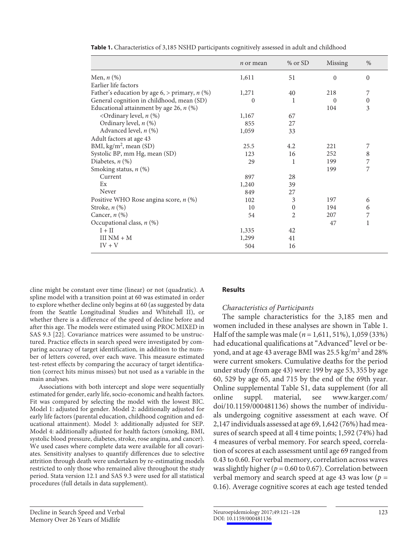|                                                 | <i>n</i> or mean | $%$ or SD      | Missing  | %                |
|-------------------------------------------------|------------------|----------------|----------|------------------|
| Men, $n$ (%)                                    | 1,611            | 51             | $\Omega$ | $\Omega$         |
| Earlier life factors                            |                  |                |          |                  |
| Father's education by age 6, > primary, $n$ (%) | 1,271            | 40             | 218      | 7                |
| General cognition in childhood, mean (SD)       | $\theta$         |                | $\Omega$ | $\boldsymbol{0}$ |
| Educational attainment by age 26, $n$ (%)       |                  |                | 104      | 3                |
| <ordinary <math="" level,="">n (%)</ordinary>   | 1,167            | 67             |          |                  |
| Ordinary level, $n$ (%)                         | 855              | 27             |          |                  |
| Advanced level, $n$ $(\%)$                      | 1,059            | 33             |          |                  |
| Adult factors at age 43                         |                  |                |          |                  |
| BMI, $\text{kg/m}^2$ , mean (SD)                | 25.5             | 4.2            | 221      | 7                |
| Systolic BP, mm Hg, mean (SD)                   | 123              | 16             | 252      | 8                |
| Diabetes, $n$ (%)                               | 29               | 1              | 199      | 7                |
| Smoking status, $n$ (%)                         |                  |                | 199      | 7                |
| Current                                         | 897              | 28             |          |                  |
| Ex                                              | 1,240            | 39             |          |                  |
| Never                                           | 849              | 27             |          |                  |
| Positive WHO Rose angina score, $n$ (%)         | 102              | 3              | 197      | 6                |
| Stroke, $n$ $(\%)$                              | 10               | $\Omega$       | 194      | 6                |
| Cancer, $n$ $(\%)$                              | 54               | $\overline{2}$ | 207      | 7                |
| Occupational class, $n$ (%)                     |                  |                | 47       | 1                |
| $I + II$                                        | 1,335            | 42             |          |                  |
| $IIINM + M$                                     | 1,299            | 41             |          |                  |
| $IV + V$                                        | 504              | 16             |          |                  |

| Table 1. Characteristics of 3,185 NSHD participants cognitively assessed in adult and childhood |  |
|-------------------------------------------------------------------------------------------------|--|
|-------------------------------------------------------------------------------------------------|--|

cline might be constant over time (linear) or not (quadratic). A spline model with a transition point at 60 was estimated in order to explore whether decline only begins at 60 (as suggested by data from the Seattle Longitudinal Studies and Whitehall II), or whether there is a difference of the speed of decline before and after this age. The models were estimated using PROC MIXED in SAS 9.3 [22]. Covariance matrices were assumed to be unstructured. Practice effects in search speed were investigated by comparing accuracy of target identification, in addition to the number of letters covered, over each wave. This measure estimated test-retest effects by comparing the accuracy of target identification (correct hits minus misses) but not used as a variable in the main analyses.

Associations with both intercept and slope were sequentially estimated for gender, early life, socio-economic and health factors. Fit was compared by selecting the model with the lowest BIC. Model 1: adjusted for gender. Model 2: additionally adjusted for early life factors (parental education, childhood cognition and educational attainment). Model 3: additionally adjusted for SEP. Model 4: additionally adjusted for health factors (smoking, BMI, systolic blood pressure, diabetes, stroke, rose angina, and cancer). We used cases where complete data were available for all covariates. Sensitivity analyses to quantify differences due to selective attrition through death were undertaken by re-estimating models restricted to only those who remained alive throughout the study period. Stata version 12.1 and SAS 9.3 were used for all statistical procedures (full details in data supplement).

## **Results**

## *Characteristics of Participants*

The sample characteristics for the 3,185 men and women included in these analyses are shown in Table 1. Half of the sample was male (*n* = 1,611, 51%), 1,059 (33%) had educational qualifications at "Advanced" level or beyond, and at age 43 average BMI was 25.5 kg/m<sup>2</sup> and 28% were current smokers. Cumulative deaths for the period under study (from age 43) were: 199 by age 53, 355 by age 60, 529 by age 65, and 715 by the end of the 69th year. Online supplemental Table S1, data supplement (for all online suppl. material, see www.karger.com/ doi/10.1159/000481136) shows the number of individuals undergoing cognitive assessment at each wave. Of 2,147 individuals assessed at age 69, 1,642 (76%) had measures of search speed at all 4 time points; 1,592 (74%) had 4 measures of verbal memory. For search speed, correlation of scores at each assessment until age 69 ranged from 0.43 to 0.60. For verbal memory, correlation across waves was slightly higher ( $p = 0.60$  to 0.67). Correlation between verbal memory and search speed at age 43 was low (*p* = 0.16). Average cognitive scores at each age tested tended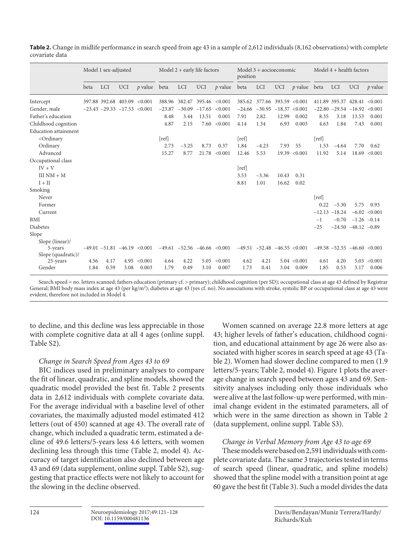|                                                                                                                                                                                              | Model 1 sex-adjusted |            |                                   |                                | Model $2 +$ early life factors |            |            |                                      | position | Model 3 + aocioeconomic           |                       |                  | Model $4 +$ health factors |            |                                      |                   |
|----------------------------------------------------------------------------------------------------------------------------------------------------------------------------------------------|----------------------|------------|-----------------------------------|--------------------------------|--------------------------------|------------|------------|--------------------------------------|----------|-----------------------------------|-----------------------|------------------|----------------------------|------------|--------------------------------------|-------------------|
|                                                                                                                                                                                              | beta                 | <b>LCI</b> | <b>UCI</b>                        | $p$ value                      | beta                           | <b>LCI</b> | <b>UCI</b> | $p$ value                            | beta     | <b>LCI</b>                        | <b>UCI</b>            | $p$ value beta   |                            | <b>LCI</b> | <b>UCI</b>                           | $p$ value         |
| Intercept                                                                                                                                                                                    |                      |            | 397.88 392.68 403.09              | < 0.001                        | 388.96                         | 382.47     | 395.46     | < 0.001                              | 385.62   |                                   | 377.66 393.59 < 0.001 |                  |                            |            | 411.89 395.37 428.41 < 0.001         |                   |
| Gender, male                                                                                                                                                                                 |                      |            | $-23.43$ $-29.33$ $-17.53$ <0.001 |                                | $-23.87$                       | $-30.09$   | $-17.65$   | < 0.001                              | $-24.66$ | $-30.95$                          |                       | $-18.37 < 0.001$ |                            |            | $-22.80 -29.54 -16.92 < 0.001$       |                   |
| Father's education                                                                                                                                                                           |                      |            |                                   |                                | 8.48                           | 3.44       | 13.51      | 0.001                                | 7.91     | 2.82                              | 12.99                 | 0.002            | 8.35                       | 3.18       | 13.53                                | 0.001             |
| Childhood cognition                                                                                                                                                                          |                      |            |                                   |                                | 4.87                           | 2.15       | 7.60       | < 0.001                              | 4.14     | 1.34                              | 6.93                  | 0.003            | 4.63                       | 1.84       | 7.43                                 | 0.001             |
| <b>Education</b> attainment                                                                                                                                                                  |                      |            |                                   |                                |                                |            |            |                                      |          |                                   |                       |                  |                            |            |                                      |                   |
| <ordinary< td=""><td></td><td></td><td></td><td></td><td>[ref]</td><td></td><td></td><td></td><td>[ref]</td><td></td><td></td><td></td><td>[ref]</td><td></td><td></td><td></td></ordinary<> |                      |            |                                   |                                | [ref]                          |            |            |                                      | [ref]    |                                   |                       |                  | [ref]                      |            |                                      |                   |
| Ordinary                                                                                                                                                                                     |                      |            |                                   |                                | 2.73                           | $-3.25$    | 8.73       | 0.37                                 | 1.84     | $-4.23$                           | 7.93                  | 55               | 1.53                       | $-4.64$    | 7.70                                 | 0.62              |
| Advanced                                                                                                                                                                                     |                      |            |                                   |                                | 15.27                          | 8.77       | 21.78      | < 0.001                              | 12.46    | 5.53                              | 19.39                 | < 0.001          | 11.92                      | 5.14       |                                      | $18.69 \le 0.001$ |
| Occupational class                                                                                                                                                                           |                      |            |                                   |                                |                                |            |            |                                      |          |                                   |                       |                  |                            |            |                                      |                   |
| $IV + V$                                                                                                                                                                                     |                      |            |                                   |                                |                                |            |            |                                      | [ref]    |                                   |                       |                  |                            |            |                                      |                   |
| $IIINM + M$                                                                                                                                                                                  |                      |            |                                   |                                |                                |            |            |                                      | 3.53     | $-3.36$                           | 10.43                 | 0.31             |                            |            |                                      |                   |
| $I + II$                                                                                                                                                                                     |                      |            |                                   |                                |                                |            |            |                                      | 8.81     | 1.01                              | 16.62                 | 0.02             |                            |            |                                      |                   |
| Smoking                                                                                                                                                                                      |                      |            |                                   |                                |                                |            |            |                                      |          |                                   |                       |                  |                            |            |                                      |                   |
| Never                                                                                                                                                                                        |                      |            |                                   |                                |                                |            |            |                                      |          |                                   |                       |                  | [ref]                      |            |                                      |                   |
| Former                                                                                                                                                                                       |                      |            |                                   |                                |                                |            |            |                                      |          |                                   |                       |                  | 0.22                       | $-5.30$    | 5.75                                 | 0.93              |
| Current                                                                                                                                                                                      |                      |            |                                   |                                |                                |            |            |                                      |          |                                   |                       |                  | $-12.13$                   | $-18.24$   |                                      | $-6.02$ < 0.001   |
| <b>BMI</b>                                                                                                                                                                                   |                      |            |                                   |                                |                                |            |            |                                      |          |                                   |                       |                  | $-1$                       | $-0.70$    | $-1.26 -0.14$                        |                   |
| <b>Diabetes</b>                                                                                                                                                                              |                      |            |                                   |                                |                                |            |            |                                      |          |                                   |                       |                  | $-25$                      |            | $-24.50 - 48.12 - 0.89$              |                   |
| Slope                                                                                                                                                                                        |                      |            |                                   |                                |                                |            |            |                                      |          |                                   |                       |                  |                            |            |                                      |                   |
| Slope (linear)/                                                                                                                                                                              |                      |            |                                   |                                |                                |            |            |                                      |          |                                   |                       |                  |                            |            |                                      |                   |
| 5-years                                                                                                                                                                                      |                      |            |                                   | $-49.01 -51.81 -46.19 < 0.001$ |                                |            |            | $-49.61$ $-52.56$ $-46.66$ $< 0.001$ |          | $-49.51$ $-52.48$ $-46.55$ <0.001 |                       |                  |                            |            | $-49.58$ $-52.55$ $-46.60$ $< 0.001$ |                   |
| Slope (quadratic)/                                                                                                                                                                           |                      |            |                                   |                                |                                |            |            |                                      |          |                                   |                       |                  |                            |            |                                      |                   |
| 25-years                                                                                                                                                                                     | 4.56                 | 4.17       | 4.95                              | < 0.001                        | 4.64                           | 4.22       | 5.05       | < 0.001                              | 4.62     | 4.21                              |                       | $5.04 \le 0.001$ | 4.61                       | 4.20       | 5.03                                 | < 0.001           |
| Gender                                                                                                                                                                                       | 1.84                 | 0.59       | 3.08                              | 0.003                          | 1.79                           | 0.49       | 3.10       | 0.007                                | 1.73     | 0.41                              | 3.04                  | 0.009            | 1.85                       | 0.53       | 3.17                                 | 0.006             |

**Table 2.** Change in midlife performance in search speed from age 43 in a sample of 2,612 individuals (8,162 observations) with complete covariate data

Search speed = no. letters scanned; fathers education (primary cf. > primary); childhood cognition (per SD); occupational class at age 43 defined by Registrar General; BMI body mass index at age 43 (per kg/m<sup>2</sup>); diabetes at age 43 (yes cf. no). No associations with stroke, systolic BP or occupational class at age 43 were evident, therefore not included in Model 4.

to decline, and this decline was less appreciable in those with complete cognitive data at all 4 ages (online suppl. Table S2).

## *Change in Search Speed from Ages 43 to 69*

BIC indices used in preliminary analyses to compare the fit of linear, quadratic, and spline models, showed the quadratic model provided the best fit. Table 2 presents data in 2,612 individuals with complete covariate data. For the average individual with a baseline level of other covariates, the maximally adjusted model estimated 412 letters (out of 450) scanned at age 43. The overall rate of change, which included a quadratic term, estimated a decline of 49.6 letters/5-years less 4.6 letters, with women declining less through this time (Table 2, model 4). Accuracy of target identification also declined between age 43 and 69 (data supplement, online suppl. Table S2), suggesting that practice effects were not likely to account for the slowing in the decline observed.

Women scanned on average 22.8 more letters at age 43; higher levels of father's education, childhood cognition, and educational attainment by age 26 were also associated with higher scores in search speed at age 43 (Table 2). Women had slower decline compared to men (1.9 letters/5-years; Table 2, model 4). Figure 1 plots the average change in search speed between ages 43 and 69. Sensitivity analyses including only those individuals who were alive at the last follow-up were performed, with minimal change evident in the estimated parameters, all of which were in the same direction as shown in Table 2 (data supplement, online suppl. Table S3).

## *Change in Verbal Memory from Age 43 to age 69*

These models were based on 2,591 individuals with complete covariate data. The same 3 trajectories tested in terms of search speed (linear, quadratic, and spline models) showed that the spline model with a transition point at age 60 gave the best fit (Table 3). Such a model divides the data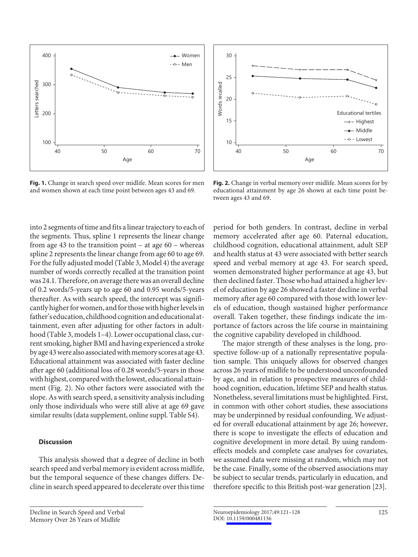

**Fig. 1.** Change in search speed over midlife. Mean scores for men and women shown at each time point between ages 43 and 69.

into 2 segments of time and fits a linear trajectory to each of the segments. Thus, spline 1 represents the linear change from age 43 to the transition point – at age 60 – whereas spline 2 represents the linear change from age 60 to age 69. For the fully adjusted model (Table 3, Model 4) the average number of words correctly recalled at the transition point was 24.1. Therefore, on average there was an overall decline of 0.2 words/5-years up to age 60 and 0.95 words/5-years thereafter. As with search speed, the intercept was significantly higher for women, and for those with higher levels in father's education, childhood cognition and educational attainment, even after adjusting for other factors in adulthood (Table 3, models 1-4). Lower occupational class, current smoking, higher BMI and having experienced a stroke by age 43 were also associated with memory scores at age 43. Educational attainment was associated with faster decline after age 60 (additional loss of 0.28 words/5-years in those with highest, compared with the lowest, educational attainment (Fig. 2). No other factors were associated with the slope. As with search speed, a sensitivity analysis including only those individuals who were still alive at age 69 gave similar results (data supplement, online suppl. Table S4).

## **Discussion**

This analysis showed that a degree of decline in both search speed and verbal memory is evident across midlife, but the temporal sequence of these changes differs. Decline in search speed appeared to decelerate over this time



**Fig. 2.** Change in verbal memory over midlife. Mean scores for by educational attainment by age 26 shown at each time point between ages 43 and 69.

period for both genders. In contrast, decline in verbal memory accelerated after age 60. Paternal education, childhood cognition, educational attainment, adult SEP and health status at 43 were associated with better search speed and verbal memory at age 43. For search speed, women demonstrated higher performance at age 43, but then declined faster. Those who had attained a higher level of education by age 26 showed a faster decline in verbal memory after age 60 compared with those with lower levels of education, though sustained higher performance overall. Taken together, these findings indicate the importance of factors across the life course in maintaining the cognitive capability developed in childhood.

The major strength of these analyses is the long, prospective follow-up of a nationally representative population sample. This uniquely allows for observed changes across 26 years of midlife to be understood unconfounded by age, and in relation to prospective measures of childhood cognition, education, lifetime SEP and health status. Nonetheless, several limitations must be highlighted. First, in common with other cohort studies, these associations may be underpinned by residual confounding. We adjusted for overall educational attainment by age 26; however, there is scope to investigate the effects of education and cognitive development in more detail. By using randomeffects models and complete case analyses for covariates, we assumed data were missing at random, which may not be the case. Finally, some of the observed associations may be subject to secular trends, particularly in education, and therefore specific to this British post-war generation [23].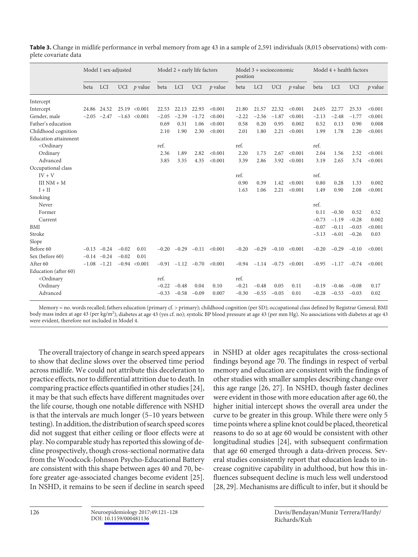|                                                                                                                                                                                           | Model 1 sex-adjusted |                 |            | Model $2 +$ early life factors |         |            |               | Model $3 +$ socioeconomic<br>position |         |         |               | Model $4 +$ health factors |         |            |            |           |
|-------------------------------------------------------------------------------------------------------------------------------------------------------------------------------------------|----------------------|-----------------|------------|--------------------------------|---------|------------|---------------|---------------------------------------|---------|---------|---------------|----------------------------|---------|------------|------------|-----------|
|                                                                                                                                                                                           | beta                 | <b>LCI</b>      | <b>UCI</b> | <i>p</i> value                 | beta    | <b>LCI</b> | <b>UCI</b>    | $p$ value                             | beta    | LCI     | <b>UCI</b>    | $p$ value                  | beta    | <b>LCI</b> | <b>UCI</b> | $p$ value |
| Intercept                                                                                                                                                                                 |                      |                 |            |                                |         |            |               |                                       |         |         |               |                            |         |            |            |           |
| Intercept                                                                                                                                                                                 |                      | 24.86 24.52     |            | $25.19$ < $0.001$              | 22.53   | 22.13      | 22.93         | < 0.001                               | 21.80   | 21.57   | 22.32         | < 0.001                    | 24.05   | 22.77      | 25.33      | < 0.001   |
| Gender, male                                                                                                                                                                              | $-2.05$              | $-2.47$         |            | $-1.63$ < 0.001                | $-2.05$ | $-2.39$    | $-1.72$       | < 0.001                               | $-2.22$ | $-2.56$ | $-1.87$       | < 0.001                    | $-2.13$ | $-2.48$    | $-1.77$    | < 0.001   |
| Father's education                                                                                                                                                                        |                      |                 |            |                                | 0.69    | 0.31       | 1.06          | < 0.001                               | 0.58    | 0.20    | 0.95          | 0.002                      | 0.52    | 0.13       | 0.90       | 0.008     |
| Childhood cognition                                                                                                                                                                       |                      |                 |            |                                | 2.10    | 1.90       | 2.30          | < 0.001                               | 2.01    | 1.80    | 2.21          | < 0.001                    | 1.99    | 1.78       | 2.20       | < 0.001   |
| <b>Education</b> attainment                                                                                                                                                               |                      |                 |            |                                |         |            |               |                                       |         |         |               |                            |         |            |            |           |
| <ordinary< td=""><td></td><td></td><td></td><td></td><td>ref.</td><td></td><td></td><td></td><td>ref.</td><td></td><td></td><td></td><td>ref.</td><td></td><td></td><td></td></ordinary<> |                      |                 |            |                                | ref.    |            |               |                                       | ref.    |         |               |                            | ref.    |            |            |           |
| Ordinary                                                                                                                                                                                  |                      |                 |            |                                | 2.36    | 1.89       | 2.82          | < 0.001                               | 2.20    | 1.73    | 2.67          | < 0.001                    | 2.04    | 1.56       | 2.52       | < 0.001   |
| Advanced                                                                                                                                                                                  |                      |                 |            |                                | 3.85    | 3.35       | 4.35          | < 0.001                               | 3.39    | 2.86    | 3.92          | < 0.001                    | 3.19    | 2.65       | 3.74       | < 0.001   |
| Occupational class                                                                                                                                                                        |                      |                 |            |                                |         |            |               |                                       |         |         |               |                            |         |            |            |           |
| $IV + V$                                                                                                                                                                                  |                      |                 |            |                                |         |            |               |                                       | ref.    |         |               |                            | ref.    |            |            |           |
| $IIINM + M$                                                                                                                                                                               |                      |                 |            |                                |         |            |               |                                       | 0.90    | 0.39    | 1.42          | < 0.001                    | 0.80    | 0.28       | 1.33       | 0.002     |
| $I + II$                                                                                                                                                                                  |                      |                 |            |                                |         |            |               |                                       | 1.63    | 1.06    | 2.21          | < 0.001                    | 1.49    | 0.90       | 2.08       | < 0.001   |
| Smoking                                                                                                                                                                                   |                      |                 |            |                                |         |            |               |                                       |         |         |               |                            |         |            |            |           |
| Never                                                                                                                                                                                     |                      |                 |            |                                |         |            |               |                                       |         |         |               |                            | ref.    |            |            |           |
| Former                                                                                                                                                                                    |                      |                 |            |                                |         |            |               |                                       |         |         |               |                            | 0.11    | $-0.30$    | 0.52       | 0.52      |
| Current                                                                                                                                                                                   |                      |                 |            |                                |         |            |               |                                       |         |         |               |                            | $-0.73$ | $-1.19$    | $-0.28$    | 0.002     |
| <b>BMI</b>                                                                                                                                                                                |                      |                 |            |                                |         |            |               |                                       |         |         |               |                            | $-0.07$ | $-0.11$    | $-0.03$    | < 0.001   |
| Stroke                                                                                                                                                                                    |                      |                 |            |                                |         |            |               |                                       |         |         |               |                            | $-3.13$ | $-6.01$    | $-0.26$    | 0.03      |
| Slope                                                                                                                                                                                     |                      |                 |            |                                |         |            |               |                                       |         |         |               |                            |         |            |            |           |
| Before 60                                                                                                                                                                                 |                      | $-0.13 -0.24$   | $-0.02$    | 0.01                           | $-0.20$ | $-0.29$    | $-0.11$       | < 0.001                               | $-0.20$ | $-0.29$ | $-0.10$       | < 0.001                    | $-0.20$ | $-0.29$    | $-0.10$    | < 0.001   |
| Sex (before 60)                                                                                                                                                                           |                      | $-0.14 - 0.24$  | $-0.02$    | 0.01                           |         |            |               |                                       |         |         |               |                            |         |            |            |           |
| After 60                                                                                                                                                                                  |                      | $-1.08$ $-1.21$ |            | $-0.94 < 0.001$                | $-0.91$ |            | $-1.12 -0.70$ | < 0.001                               | $-0.94$ |         | $-1.14 -0.73$ | < 0.001                    | $-0.95$ | $-1.17$    | $-0.74$    | < 0.001   |
| Education (after 60)                                                                                                                                                                      |                      |                 |            |                                |         |            |               |                                       |         |         |               |                            |         |            |            |           |
| <ordinary< td=""><td></td><td></td><td></td><td></td><td>ref.</td><td></td><td></td><td></td><td>ref.</td><td></td><td></td><td></td><td></td><td></td><td></td><td></td></ordinary<>     |                      |                 |            |                                | ref.    |            |               |                                       | ref.    |         |               |                            |         |            |            |           |
| Ordinary                                                                                                                                                                                  |                      |                 |            |                                | $-0.22$ | $-0.48$    | 0.04          | 0.10                                  | $-0.21$ | $-0.48$ | 0.05          | 0.11                       | $-0.19$ | $-0.46$    | $-0.08$    | 0.17      |
| Advanced                                                                                                                                                                                  |                      |                 |            |                                | $-0.33$ | $-0.58$    | $-0.09$       | 0.007                                 | $-0.30$ | $-0.55$ | $-0.05$       | 0.01                       | $-0.28$ | $-0.53$    | $-0.03$    | 0.02      |
|                                                                                                                                                                                           |                      |                 |            |                                |         |            |               |                                       |         |         |               |                            |         |            |            |           |

**Table 3.** Change in midlife performance in verbal memory from age 43 in a sample of 2,591 individuals (8,015 observations) with complete covariate data

Memory = no. words recalled; fathers education (primary cf. > primary); childhood cognition (per SD); occupational class defined by Registrar General; BMI body mass index at age 43 (per kg/m<sup>2</sup>); diabetes at age 43 (yes cf. no); systolic BP blood pressure at age 43 (per mm Hg). No associations with diabetes at age 43 were evident, therefore not included in Model 4.

The overall trajectory of change in search speed appears to show that decline slows over the observed time period across midlife. We could not attribute this deceleration to practice effects, nor to differential attrition due to death. In comparing practice effects quantified in other studies [24], it may be that such effects have different magnitudes over the life course, though one notable difference with NSHD is that the intervals are much longer (5–10 years between testing). In addition, the distribution of search speed scores did not suggest that either ceiling or floor effects were at play. No comparable study has reported this slowing of decline prospectively, though cross-sectional normative data from the Woodcock-Johnson Psycho-Educational Battery are consistent with this shape between ages 40 and 70, before greater age-associated changes become evident [25]. In NSHD, it remains to be seen if decline in search speed

in NSHD at older ages recapitulates the cross-sectional findings beyond age 70. The findings in respect of verbal memory and education are consistent with the findings of other studies with smaller samples describing change over this age range [26, 27]. In NSHD, though faster declines were evident in those with more education after age 60, the higher initial intercept shows the overall area under the curve to be greater in this group. While there were only 5 time points where a spline knot could be placed, theoretical reasons to do so at age 60 would be consistent with other longitudinal studies [24], with subsequent confirmation that age 60 emerged through a data-driven process. Several studies consistently report that education leads to increase cognitive capability in adulthood, but how this influences subsequent decline is much less well understood [28, 29]. Mechanisms are difficult to infer, but it should be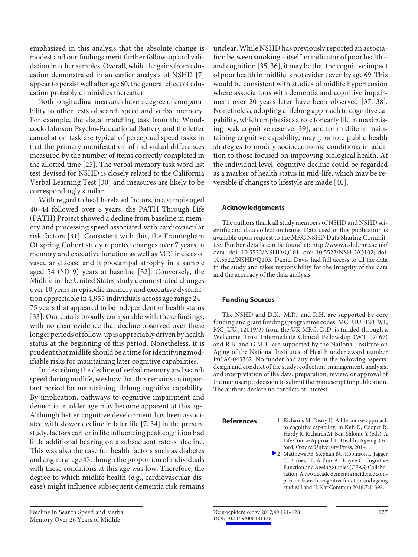emphasized in this analysis that the absolute change is modest and our findings merit further follow-up and validation in other samples. Overall, while the gains from education demonstrated in an earlier analysis of NSHD [7] appear to persist well after age 60, the general effect of education probably diminishes thereafter.

Both longitudinal measures have a degree of comparability to other tests of search speed and verbal memory. For example, the visual matching task from the Woodcock-Johnson Psycho-Educational Battery and the letter cancellation task are typical of perceptual speed tasks in that the primary manifestation of individual differences measured by the number of items correctly completed in the allotted time [25]. The verbal memory task word list test devised for NSHD is closely related to the California Verbal Learning Test [30] and measures are likely to be correspondingly similar.

With regard to health-related factors, in a sample aged 40–44 followed over 8 years, the PATH Through Life (PATH) Project showed a decline from baseline in memory and processing speed associated with cardiovascular risk factors [31]. Consistent with this, the Framingham Offspring Cohort study reported changes over 7 years in memory and executive function as well as MRI indices of vascular disease and hippocampal atrophy in a sample aged 54 (SD 9) years at baseline [32]. Conversely, the Midlife in the United States study demonstrated changes over 10 years in episodic memory and executive dysfunction appreciable in 4,955 individuals across age range 24– 75 years that appeared to be independent of health status [33]. Our data is broadly comparable with these findings, with no clear evidence that decline observed over these longer periods of follow-up is appreciably driven by health status at the beginning of this period. Nonetheless, it is prudent that midlife should be a time for identifying modifiable risks for maintaining later cognitive capabilities.

In describing the decline of verbal memory and search speed during midlife, we show that this remains an important period for maintaining lifelong cognitive capability. By implication, pathways to cognitive impairment and dementia in older age may become apparent at this age. Although better cognitive development has been associated with slower decline in later life [7, 34] in the present study, factors earlier in life influencing peak cognition had little additional bearing on a subsequent rate of decline. This was also the case for health factors such as diabetes and angina at age 43, though the proportion of individuals with these conditions at this age was low. Therefore, the degree to which midlife health (e.g., cardiovascular disease) might influence subsequent dementia risk remains

unclear. While NSHD has previously reported an association between smoking – itself an indicator of poor health – and cognition [35, 36], it may be that the cognitive impact of poor health in midlife is not evident even by age 69. This would be consistent with studies of midlife hypertension where associations with dementia and cognitive impairment over 20 years later have been observed [37, 38]. Nonetheless, adopting a lifelong approach to cognitive capability, which emphasises a role for early life in maximising peak cognitive reserve [39], and for midlife in maintaining cognitive capability, may promote public health strategies to modify socioeconomic conditions in addition to those focused on improving biological health. At the individual level, cognitive decline could be regarded as a marker of health status in mid-life, which may be reversible if changes to lifestyle are made [40].

## **Acknowledgements**

The authors thank all study members of NSHD and NSHD scientific and data collection teams. Data used in this publication is available upon request to the MRC NSHD Data Sharing Committee. Further details can be found at: http://www.nshd.mrc.ac.uk/ data. doi: 10.5522/NSHD/Q101; doi: 10.5522/NSHD/Q102; doi: 10.5522/NSHD/Q103. Daniel Davis had full access to all the data in the study and takes responsibility for the integrity of the data and the accuracy of the data analysis.

#### **Funding Sources**

The NSHD and D.K., M.R., and R.H. are supported by core funding and grant funding (programme codes: MC\_UU\_12019/1, MC\_UU\_12019/3) from the UK MRC. D.D. is funded through a Wellcome Trust Intermediate Clinical Fellowship (WT107467) and R.B. and G.M.T. are supported by the National Institute on Aging of the National Institutes of Health under award number P01AG043362. No funder had any role in the following aspects: design and conduct of the study; collection, management, analysis, and interpretation of the data; preparation, review, or approval of the manuscript; decision to submit the manuscript for publication. The authors declare no conflicts of interest.

- **References** 1 Richards M, Deary IJ: A life course approach to cognitive capability; in Kuh D, Cooper R, Hardy R, Richards M, Ben-Shlomo Y (eds): A Life Course Approach to Healthy Ageing. Oxford, Oxford University Press, 2014.
	- 2 Matthews FE, Stephan BC, Robinson L, Jagger C, Barnes LE, Arthur A, Brayne C; Cognitive Function and Ageing Studies (CFAS) Collaboration: A two decade dementia incidence comparison from the cognitive function and ageing studies I and II. Nat Commun 2016;7:11398.